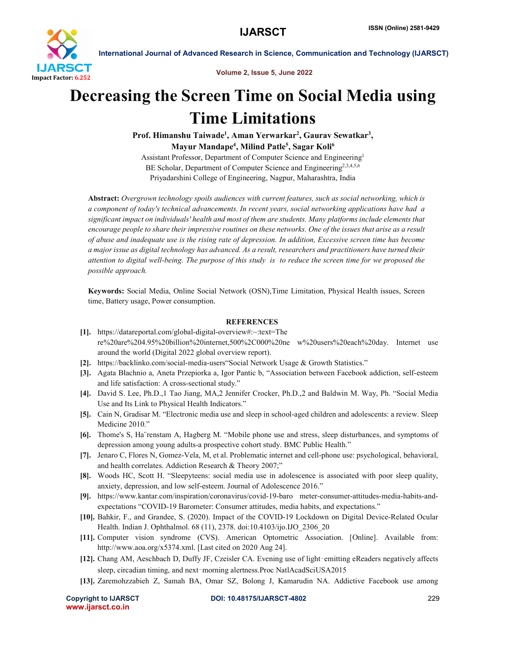

International Journal of Advanced Research in Science, Communication and Technology (IJARSCT)

Volume 2, Issue 5, June 2022

## Decreasing the Screen Time on Social Media using Time Limitations

Prof. Himanshu Taiwade<sup>1</sup>, Aman Yerwarkar<sup>2</sup>, Gaurav Sewatkar<sup>3</sup>, Mayur Mandape<sup>4</sup>, Milind Patle<sup>5</sup>, Sagar Koli<sup>6</sup>

Assistant Professor, Department of Computer Science and Engineering1 BE Scholar, Department of Computer Science and Engineering<sup>2,3,4,5,6</sup> Priyadarshini College of Engineering, Nagpur, Maharashtra, India

Abstract: *Overgrown technology spoils audiences with current features, such as social networking, which is a component of today's technical advancements. In recent years, social networking applications have had a significant impact on individuals' health and most of them are students. Many platforms include elements that encourage people to share their impressive routines on these networks. One of the issues that arise as a result of abuse and inadequate use is the rising rate of depression. In addition, Excessive screen time has become a major issue as digital technology has advanced. As a result, researchers and practitioners have turned their*  attention to digital well-being. The purpose of this study is to reduce the screen time for we proposed the *possible approach.*

Keywords: Social Media, Online Social Network (OSN),Time Limitation, Physical Health issues, Screen time, Battery usage, Power consumption.

## **REFERENCES**

- [1]. https://datareportal.com/global-digital-overview#:~:text=The re%20are%204.95%20billion%20internet,500%2C000%20ne w%20users%20each%20day. Internet use around the world (Digital 2022 global overview report).
- [2]. https://backlinko.com/social-media-users"Social Network Usage & Growth Statistics."
- [3]. Agata Błachnio a, Aneta Przepiorka a, Igor Pantic b, "Association between Facebook addiction, self-esteem and life satisfaction: A cross-sectional study."
- [4]. David S. Lee, Ph.D.,1 Tao Jiang, MA,2 Jennifer Crocker, Ph.D.,2 and Baldwin M. Way, Ph. "Social Media Use and Its Link to Physical Health Indicators."
- [5]. Cain N, Gradisar M. "Electronic media use and sleep in school-aged children and adolescents: a review. Sleep Medicine 2010."
- [6]. Thome's S, Ha¨renstam A, Hagberg M. "Mobile phone use and stress, sleep disturbances, and symptoms of depression among young adults-a prospective cohort study. BMC Public Health."
- [7]. Jenaro C, Flores N, Gomez-Vela, M, et al. Problematic internet and cell-phone use: psychological, behavioral, and health correlates. Addiction Research & Theory 2007;"
- [8]. Woods HC, Scott H. "Sleepyteens: social media use in adolescence is associated with poor sleep quality, anxiety, depression, and low self-esteem. Journal of Adolescence 2016."
- [9]. https://www.kantar.com/inspiration/coronavirus/covid-19-baro meter-consumer-attitudes-media-habits-andexpectations "COVID-19 Barometer: Consumer attitudes, media habits, and expectations."
- [10]. Bahkir, F., and Grandee, S. (2020). Impact of the COVID-19 Lockdown on Digital Device-Related Ocular Health. Indian J. Ophthalmol. 68 (11), 2378. doi:10.4103/ijo.IJO\_2306\_20
- [11]. Computer vision syndrome (CVS). American Optometric Association. [Online]. Available from: http://www.aoa.org/x5374.xml. [Last cited on 2020 Aug 24].
- [12]. Chang AM, Aeschbach D, Duffy JF, Czeisler CA. Evening use of light–emitting eReaders negatively affects sleep, circadian timing, and next-morning alertness. Proc NatlAcadSciUSA2015
- [13]. Zaremohzzabieh Z, Samah BA, Omar SZ, Bolong J, Kamarudin NA. Addictive Facebook use among

www.ijarsct.co.in